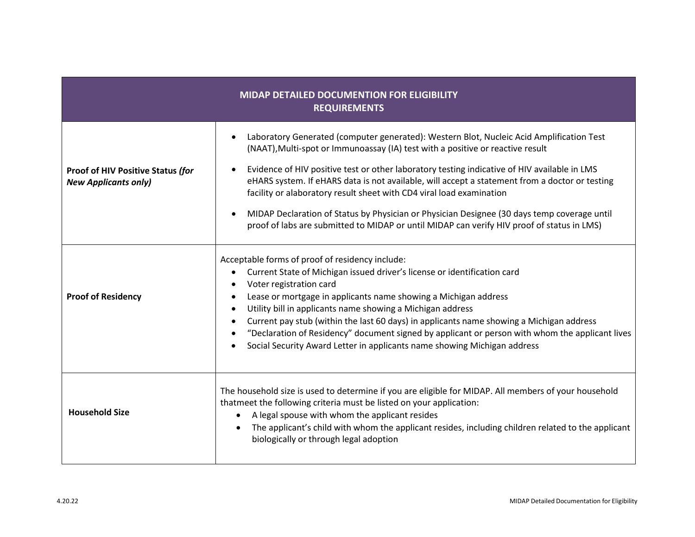| <b>MIDAP DETAILED DOCUMENTION FOR ELIGIBILITY</b><br><b>REQUIREMENTS</b> |                                                                                                                                                                                                                                                                                                                                                                                                                                                                                                                                                                                                                                                   |  |
|--------------------------------------------------------------------------|---------------------------------------------------------------------------------------------------------------------------------------------------------------------------------------------------------------------------------------------------------------------------------------------------------------------------------------------------------------------------------------------------------------------------------------------------------------------------------------------------------------------------------------------------------------------------------------------------------------------------------------------------|--|
| <b>Proof of HIV Positive Status (for</b><br><b>New Applicants only)</b>  | Laboratory Generated (computer generated): Western Blot, Nucleic Acid Amplification Test<br>(NAAT), Multi-spot or Immunoassay (IA) test with a positive or reactive result<br>Evidence of HIV positive test or other laboratory testing indicative of HIV available in LMS<br>eHARS system. If eHARS data is not available, will accept a statement from a doctor or testing<br>facility or alaboratory result sheet with CD4 viral load examination<br>MIDAP Declaration of Status by Physician or Physician Designee (30 days temp coverage until<br>proof of labs are submitted to MIDAP or until MIDAP can verify HIV proof of status in LMS) |  |
| <b>Proof of Residency</b>                                                | Acceptable forms of proof of residency include:<br>Current State of Michigan issued driver's license or identification card<br>Voter registration card<br>Lease or mortgage in applicants name showing a Michigan address<br>Utility bill in applicants name showing a Michigan address<br>Current pay stub (within the last 60 days) in applicants name showing a Michigan address<br>"Declaration of Residency" document signed by applicant or person with whom the applicant lives<br>Social Security Award Letter in applicants name showing Michigan address                                                                                |  |
| <b>Household Size</b>                                                    | The household size is used to determine if you are eligible for MIDAP. All members of your household<br>thatmeet the following criteria must be listed on your application:<br>A legal spouse with whom the applicant resides<br>$\bullet$<br>The applicant's child with whom the applicant resides, including children related to the applicant<br>biologically or through legal adoption                                                                                                                                                                                                                                                        |  |